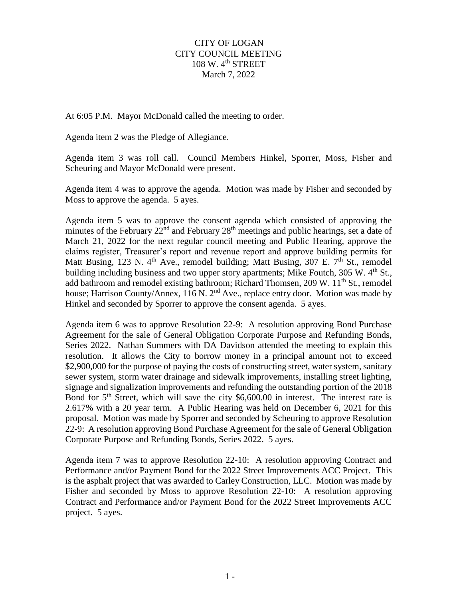## CITY OF LOGAN CITY COUNCIL MEETING 108 W.  $4<sup>th</sup>$  STREET March 7, 2022

At 6:05 P.M. Mayor McDonald called the meeting to order.

Agenda item 2 was the Pledge of Allegiance.

Agenda item 3 was roll call. Council Members Hinkel, Sporrer, Moss, Fisher and Scheuring and Mayor McDonald were present.

Agenda item 4 was to approve the agenda. Motion was made by Fisher and seconded by Moss to approve the agenda. 5 ayes.

Agenda item 5 was to approve the consent agenda which consisted of approving the minutes of the February 22<sup>nd</sup> and February 28<sup>th</sup> meetings and public hearings, set a date of March 21, 2022 for the next regular council meeting and Public Hearing, approve the claims register, Treasurer's report and revenue report and approve building permits for Matt Busing, 123 N.  $4<sup>th</sup>$  Ave., remodel building; Matt Busing, 307 E.  $7<sup>th</sup>$  St., remodel building including business and two upper story apartments; Mike Foutch,  $305 \text{ W}$ .  $4^{\text{th}}$  St., add bathroom and remodel existing bathroom; Richard Thomsen,  $209 \text{ W}$ .  $11^{\text{th}}$  St., remodel house; Harrison County/Annex, 116 N. 2<sup>nd</sup> Ave., replace entry door. Motion was made by Hinkel and seconded by Sporrer to approve the consent agenda. 5 ayes.

Agenda item 6 was to approve Resolution 22-9: A resolution approving Bond Purchase Agreement for the sale of General Obligation Corporate Purpose and Refunding Bonds, Series 2022. Nathan Summers with DA Davidson attended the meeting to explain this resolution. It allows the City to borrow money in a principal amount not to exceed \$2,900,000 for the purpose of paying the costs of constructing street, water system, sanitary sewer system, storm water drainage and sidewalk improvements, installing street lighting, signage and signalization improvements and refunding the outstanding portion of the 2018 Bond for  $5<sup>th</sup>$  Street, which will save the city \$6,600.00 in interest. The interest rate is 2.617% with a 20 year term. A Public Hearing was held on December 6, 2021 for this proposal. Motion was made by Sporrer and seconded by Scheuring to approve Resolution 22-9: A resolution approving Bond Purchase Agreement for the sale of General Obligation Corporate Purpose and Refunding Bonds, Series 2022. 5 ayes.

Agenda item 7 was to approve Resolution 22-10: A resolution approving Contract and Performance and/or Payment Bond for the 2022 Street Improvements ACC Project. This is the asphalt project that was awarded to Carley Construction, LLC. Motion was made by Fisher and seconded by Moss to approve Resolution 22-10: A resolution approving Contract and Performance and/or Payment Bond for the 2022 Street Improvements ACC project. 5 ayes.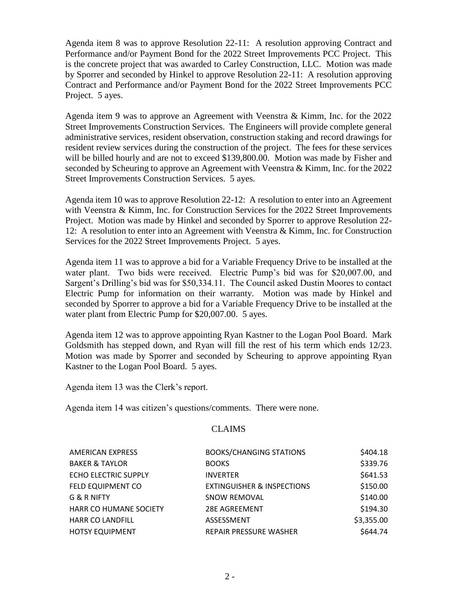Agenda item 8 was to approve Resolution 22-11: A resolution approving Contract and Performance and/or Payment Bond for the 2022 Street Improvements PCC Project. This is the concrete project that was awarded to Carley Construction, LLC. Motion was made by Sporrer and seconded by Hinkel to approve Resolution 22-11: A resolution approving Contract and Performance and/or Payment Bond for the 2022 Street Improvements PCC Project. 5 ayes.

Agenda item 9 was to approve an Agreement with Veenstra & Kimm, Inc. for the 2022 Street Improvements Construction Services. The Engineers will provide complete general administrative services, resident observation, construction staking and record drawings for resident review services during the construction of the project. The fees for these services will be billed hourly and are not to exceed \$139,800.00. Motion was made by Fisher and seconded by Scheuring to approve an Agreement with Veenstra & Kimm, Inc. for the 2022 Street Improvements Construction Services. 5 ayes.

Agenda item 10 was to approve Resolution 22-12: A resolution to enter into an Agreement with Veenstra & Kimm, Inc. for Construction Services for the 2022 Street Improvements Project. Motion was made by Hinkel and seconded by Sporrer to approve Resolution 22- 12: A resolution to enter into an Agreement with Veenstra & Kimm, Inc. for Construction Services for the 2022 Street Improvements Project. 5 ayes.

Agenda item 11 was to approve a bid for a Variable Frequency Drive to be installed at the water plant. Two bids were received. Electric Pump's bid was for \$20,007.00, and Sargent's Drilling's bid was for \$50,334.11. The Council asked Dustin Moores to contact Electric Pump for information on their warranty. Motion was made by Hinkel and seconded by Sporrer to approve a bid for a Variable Frequency Drive to be installed at the water plant from Electric Pump for \$20,007.00. 5 ayes.

Agenda item 12 was to approve appointing Ryan Kastner to the Logan Pool Board. Mark Goldsmith has stepped down, and Ryan will fill the rest of his term which ends 12/23. Motion was made by Sporrer and seconded by Scheuring to approve appointing Ryan Kastner to the Logan Pool Board. 5 ayes.

Agenda item 13 was the Clerk's report.

Agenda item 14 was citizen's questions/comments. There were none.

## CLAIMS

| <b>AMERICAN EXPRESS</b>   | <b>BOOKS/CHANGING STATIONS</b>        | \$404.18   |
|---------------------------|---------------------------------------|------------|
| <b>BAKER &amp; TAYLOR</b> | <b>BOOKS</b>                          | \$339.76   |
| ECHO ELECTRIC SUPPLY      | <b>INVERTER</b>                       | \$641.53   |
| <b>FELD EQUIPMENT CO</b>  | <b>EXTINGUISHER &amp; INSPECTIONS</b> | \$150.00   |
| G & R NIFTY               | <b>SNOW REMOVAL</b>                   | \$140.00   |
| HARR CO HUMANE SOCIETY    | <b>28E AGREEMENT</b>                  | \$194.30   |
| <b>HARR CO LANDFILL</b>   | ASSESSMENT                            | \$3,355.00 |
| <b>HOTSY EQUIPMENT</b>    | <b>REPAIR PRESSURE WASHER</b>         | \$644.74   |